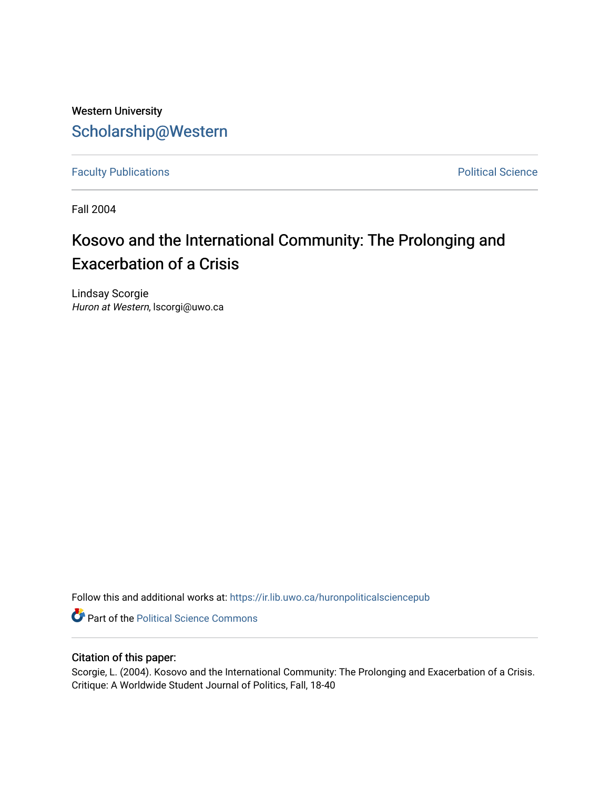## Western University [Scholarship@Western](https://ir.lib.uwo.ca/)

[Faculty Publications](https://ir.lib.uwo.ca/huronpoliticalsciencepub) **Political Science** 

Fall 2004

# Kosovo and the International Community: The Prolonging and Exacerbation of a Crisis

Lindsay Scorgie Huron at Western, lscorgi@uwo.ca

Follow this and additional works at: [https://ir.lib.uwo.ca/huronpoliticalsciencepub](https://ir.lib.uwo.ca/huronpoliticalsciencepub?utm_source=ir.lib.uwo.ca%2Fhuronpoliticalsciencepub%2F39&utm_medium=PDF&utm_campaign=PDFCoverPages) 

**P** Part of the Political Science Commons

#### Citation of this paper:

Scorgie, L. (2004). Kosovo and the International Community: The Prolonging and Exacerbation of a Crisis. Critique: A Worldwide Student Journal of Politics, Fall, 18-40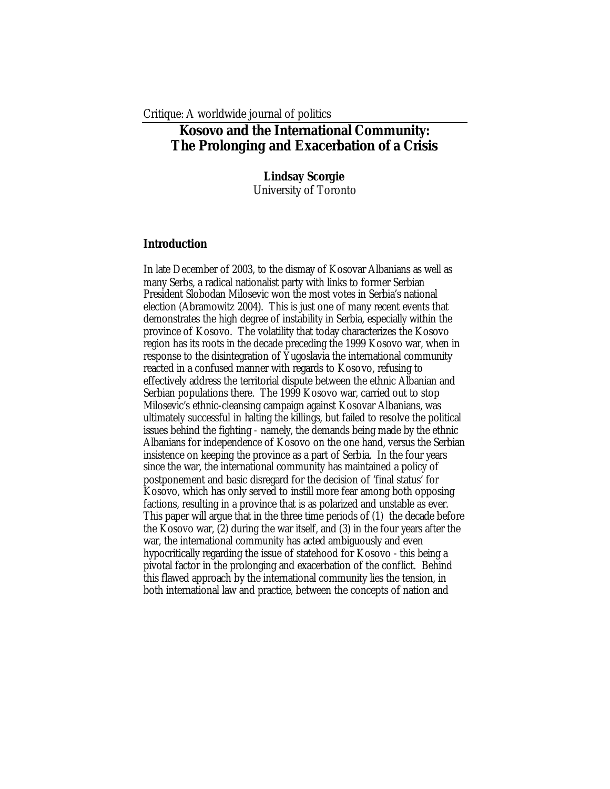Critique: A worldwide journal of politics

### **Kosovo and the International Community: The Prolonging and Exacerbation of a Crisis**

**Lindsay Scorgie** University of Toronto

#### **Introduction**

In late December of 2003, to the dismay of Kosovar Albanians as well as many Serbs, a radical nationalist party with links to former Serbian President Slobodan Milosevic won the most votes in Serbia's national election (Abramowitz 2004). This is just one of many recent events that demonstrates the high degree of instability in Serbia, especially within the province of Kosovo. The volatility that today characterizes the Kosovo region has its roots in the decade preceding the 1999 Kosovo war, when in response to the disintegration of Yugoslavia the international community reacted in a confused manner with regards to Kosovo, refusing to effectively address the territorial dispute between the ethnic Albanian and Serbian populations there. The 1999 Kosovo war, carried out to stop Milosevic's ethnic-cleansing campaign against Kosovar Albanians, was ultimately successful in halting the killings, but failed to resolve the political issues behind the fighting - namely, the demands being made by the ethnic Albanians for independence of Kosovo on the one hand, versus the Serbian insistence on keeping the province as a part of Serbia. In the four years since the war, the international community has maintained a policy of postponement and basic disregard for the decision of 'final status' for Kosovo, which has only served to instill more fear among both opposing factions, resulting in a province that is as polarized and unstable as ever. This paper will argue that in the three time periods of (1) the decade before the Kosovo war, (2) during the war itself, and (3) in the four years after the war, the international community has acted ambiguously and even hypocritically regarding the issue of statehood for Kosovo - this being a pivotal factor in the prolonging and exacerbation of the conflict. Behind this flawed approach by the international community lies the tension, in both international law and practice, between the concepts of nation and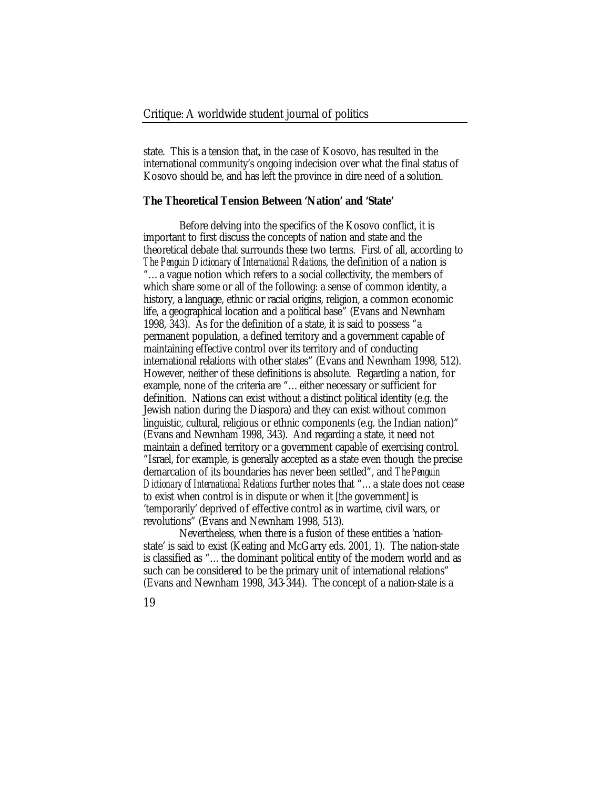state. This is a tension that, in the case of Kosovo, has resulted in the international community's ongoing indecision over what the final status of Kosovo should be, and has left the province in dire need of a solution.

#### **The Theoretical Tension Between 'Nation' and 'State'**

Before delving into the specifics of the Kosovo conflict, it is important to first discuss the concepts of nation and state and the theoretical debate that surrounds these two terms. First of all, according to *The Penguin Dictionary of International Relations*, the definition of a nation is "…a vague notion which refers to a social collectivity, the members of which share some or all of the following: a sense of common identity, a history, a language, ethnic or racial origins, religion, a common economic life, a geographical location and a political base" (Evans and Newnham 1998, 343). As for the definition of a state, it is said to possess "a permanent population, a defined territory and a government capable of maintaining effective control over its territory and of conducting international relations with other states" (Evans and Newnham 1998, 512). However, neither of these definitions is absolute. Regarding a nation, for example, none of the criteria are "…either necessary or sufficient for definition. Nations can exist without a distinct political identity (e.g. the Jewish nation during the Diaspora) and they can exist without common linguistic, cultural, religious or ethnic components (e.g. the Indian nation)" (Evans and Newnham 1998, 343). And regarding a state, it need not maintain a defined territory or a government capable of exercising control. "Israel, for example, is generally accepted as a state even though the precise demarcation of its boundaries has never been settled", and *The Penguin Dictionary of International Relations* further notes that "…a state does not cease to exist when control is in dispute or when it [the government] is 'temporarily' deprived of effective control as in wartime, civil wars, or revolutions" (Evans and Newnham 1998, 513).

Nevertheless, when there is a fusion of these entities a 'nationstate' is said to exist (Keating and McGarry eds. 2001, 1). The nation-state is classified as "…the dominant political entity of the modern world and as such can be considered to be the primary unit of international relations" (Evans and Newnham 1998, 343-344). The concept of a nation-state is a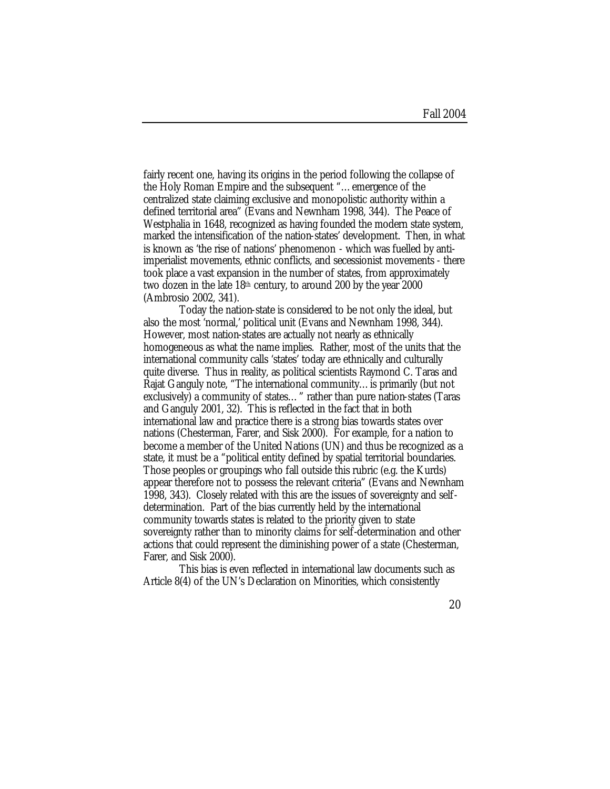fairly recent one, having its origins in the period following the collapse of the Holy Roman Empire and the subsequent "…emergence of the centralized state claiming exclusive and monopolistic authority within a defined territorial area" (Evans and Newnham 1998, 344). The Peace of Westphalia in 1648, recognized as having founded the modern state system, marked the intensification of the nation-states' development. Then, in what is known as 'the rise of nations' phenomenon - which was fuelled by antiimperialist movements, ethnic conflicts, and secessionist movements - there took place a vast expansion in the number of states, from approximately two dozen in the late 18th century, to around 200 by the year 2000 (Ambrosio 2002, 341).

Today the nation-state is considered to be not only the ideal, but also the most 'normal,' political unit (Evans and Newnham 1998, 344). However, most nation-states are actually not nearly as ethnically homogeneous as what the name implies. Rather, most of the units that the international community calls 'states' today are ethnically and culturally quite diverse. Thus in reality, as political scientists Raymond C. Taras and Rajat Ganguly note, "The international community…is primarily (but not exclusively) a community of states…" rather than pure nation-states (Taras and Ganguly 2001, 32). This is reflected in the fact that in both international law and practice there is a strong bias towards states over nations (Chesterman, Farer, and Sisk 2000). For example, for a nation to become a member of the United Nations (UN) and thus be recognized as a state, it must be a "political entity defined by spatial territorial boundaries. Those peoples or groupings who fall outside this rubric (e.g. the Kurds) appear therefore not to possess the relevant criteria" (Evans and Newnham 1998, 343). Closely related with this are the issues of sovereignty and selfdetermination. Part of the bias currently held by the international community towards states is related to the priority given to state sovereignty rather than to minority claims for self-determination and other actions that could represent the diminishing power of a state (Chesterman, Farer, and Sisk 2000).

This bias is even reflected in international law documents such as Article 8(4) of the UN's Declaration on Minorities, which consistently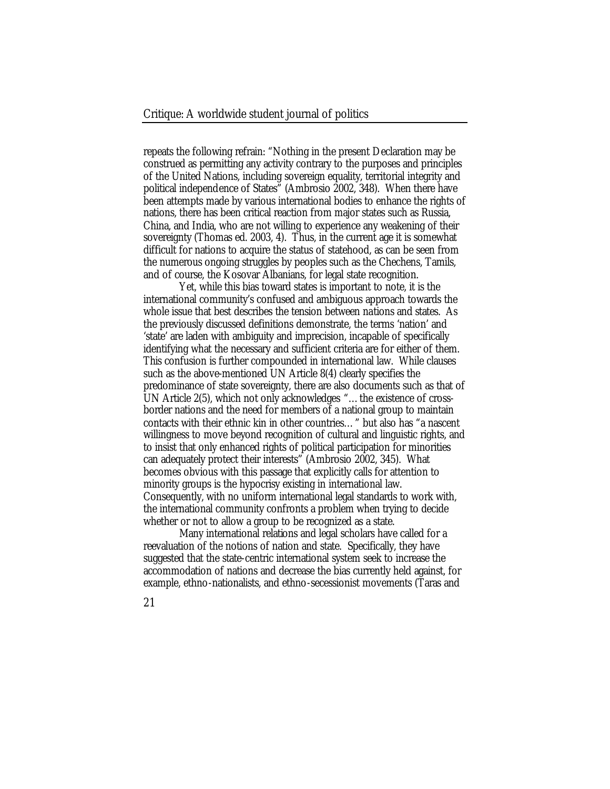repeats the following refrain: "Nothing in the present Declaration may be construed as permitting any activity contrary to the purposes and principles of the United Nations, including sovereign equality, territorial integrity and political independence of States" (Ambrosio 2002, 348). When there have been attempts made by various international bodies to enhance the rights of nations, there has been critical reaction from major states such as Russia, China, and India, who are not willing to experience any weakening of their sovereignty (Thomas ed. 2003, 4). Thus, in the current age it is somewhat difficult for nations to acquire the status of statehood, as can be seen from the numerous ongoing struggles by peoples such as the Chechens, Tamils, and of course, the Kosovar Albanians, for legal state recognition.

Yet, while this bias toward states is important to note, it is the international community's confused and ambiguous approach towards the whole issue that best describes the tension between nations and states. As the previously discussed definitions demonstrate, the terms 'nation' and 'state' are laden with ambiguity and imprecision, incapable of specifically identifying what the necessary and sufficient criteria are for either of them. This confusion is further compounded in international law. While clauses such as the above-mentioned UN Article 8(4) clearly specifies the predominance of state sovereignty, there are also documents such as that of UN Article 2(5), which not only acknowledges "…the existence of crossborder nations and the need for members of a national group to maintain contacts with their ethnic kin in other countries…" but also has "a nascent willingness to move beyond recognition of cultural and linguistic rights, and to insist that only enhanced rights of political participation for minorities can adequately protect their interests" (Ambrosio 2002, 345). What becomes obvious with this passage that explicitly calls for attention to minority groups is the hypocrisy existing in international law. Consequently, with no uniform international legal standards to work with, the international community confronts a problem when trying to decide whether or not to allow a group to be recognized as a state.

Many international relations and legal scholars have called for a reevaluation of the notions of nation and state. Specifically, they have suggested that the state-centric international system seek to increase the accommodation of nations and decrease the bias currently held against, for example, ethno-nationalists, and ethno-secessionist movements (Taras and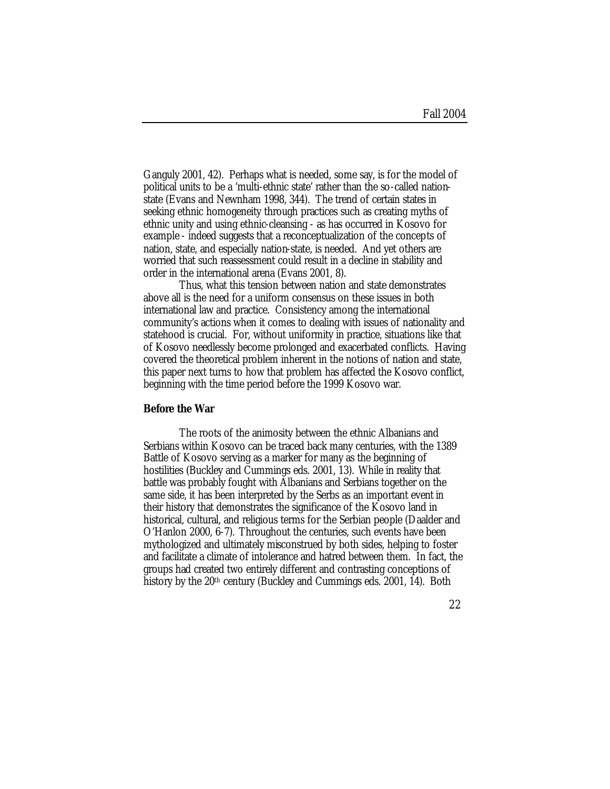Ganguly 2001, 42). Perhaps what is needed, some say, is for the model of political units to be a 'multi-ethnic state' rather than the so-called nationstate (Evans and Newnham 1998, 344). The trend of certain states in seeking ethnic homogeneity through practices such as creating myths of ethnic unity and using ethnic-cleansing - as has occurred in Kosovo for example - indeed suggests that a reconceptualization of the concepts of nation, state, and especially nation-state, is needed. And yet others are worried that such reassessment could result in a decline in stability and order in the international arena (Evans 2001, 8).

Thus, what this tension between nation and state demonstrates above all is the need for a uniform consensus on these issues in both international law and practice. Consistency among the international community's actions when it comes to dealing with issues of nationality and statehood is crucial. For, without uniformity in practice, situations like that of Kosovo needlessly become prolonged and exacerbated conflicts. Having covered the theoretical problem inherent in the notions of nation and state, this paper next turns to how that problem has affected the Kosovo conflict, beginning with the time period before the 1999 Kosovo war.

#### **Before the War**

The roots of the animosity between the ethnic Albanians and Serbians within Kosovo can be traced back many centuries, with the 1389 Battle of Kosovo serving as a marker for many as the beginning of hostilities (Buckley and Cummings eds. 2001, 13). While in reality that battle was probably fought with Albanians and Serbians together on the same side, it has been interpreted by the Serbs as an important event in their history that demonstrates the significance of the Kosovo land in historical, cultural, and religious terms for the Serbian people (Daalder and O'Hanlon 2000, 6-7). Throughout the centuries, such events have been mythologized and ultimately misconstrued by both sides, helping to foster and facilitate a climate of intolerance and hatred between them. In fact, the groups had created two entirely different and contrasting conceptions of history by the 20th century (Buckley and Cummings eds. 2001, 14). Both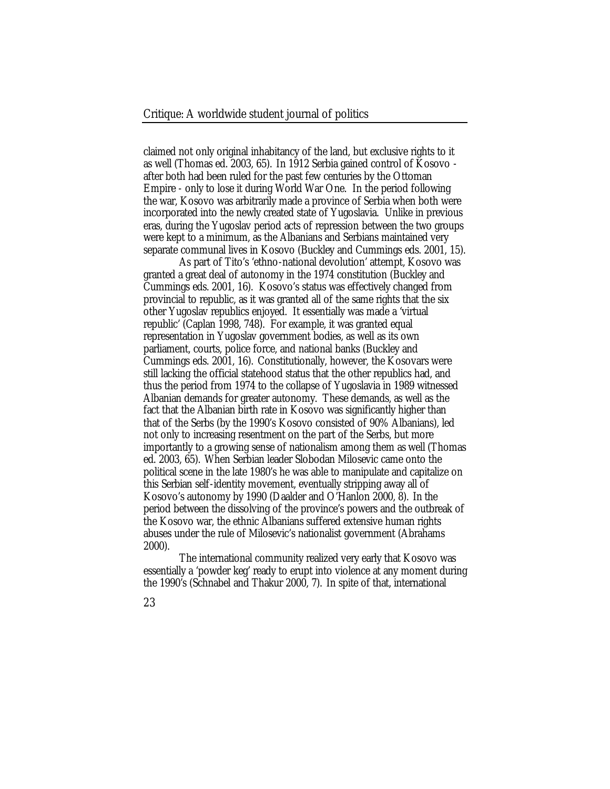claimed not only original inhabitancy of the land, but exclusive rights to it as well (Thomas ed. 2003, 65). In 1912 Serbia gained control of Kosovo after both had been ruled for the past few centuries by the Ottoman Empire - only to lose it during World War One. In the period following the war, Kosovo was arbitrarily made a province of Serbia when both were incorporated into the newly created state of Yugoslavia. Unlike in previous eras, during the Yugoslav period acts of repression between the two groups were kept to a minimum, as the Albanians and Serbians maintained very separate communal lives in Kosovo (Buckley and Cummings eds. 2001, 15).

As part of Tito's 'ethno-national devolution' attempt, Kosovo was granted a great deal of autonomy in the 1974 constitution (Buckley and Cummings eds. 2001, 16). Kosovo's status was effectively changed from provincial to republic, as it was granted all of the same rights that the six other Yugoslav republics enjoyed. It essentially was made a 'virtual republic' (Caplan 1998, 748). For example, it was granted equal representation in Yugoslav government bodies, as well as its own parliament, courts, police force, and national banks (Buckley and Cummings eds. 2001, 16). Constitutionally, however, the Kosovars were still lacking the official statehood status that the other republics had, and thus the period from 1974 to the collapse of Yugoslavia in 1989 witnessed Albanian demands for greater autonomy. These demands, as well as the fact that the Albanian birth rate in Kosovo was significantly higher than that of the Serbs (by the 1990's Kosovo consisted of 90% Albanians), led not only to increasing resentment on the part of the Serbs, but more importantly to a growing sense of nationalism among them as well (Thomas ed. 2003, 65). When Serbian leader Slobodan Milosevic came onto the political scene in the late 1980's he was able to manipulate and capitalize on this Serbian self-identity movement, eventually stripping away all of Kosovo's autonomy by 1990 (Daalder and O'Hanlon 2000, 8). In the period between the dissolving of the province's powers and the outbreak of the Kosovo war, the ethnic Albanians suffered extensive human rights abuses under the rule of Milosevic's nationalist government (Abrahams 2000).

The international community realized very early that Kosovo was essentially a 'powder keg' ready to erupt into violence at any moment during the 1990's (Schnabel and Thakur 2000, 7). In spite of that, international

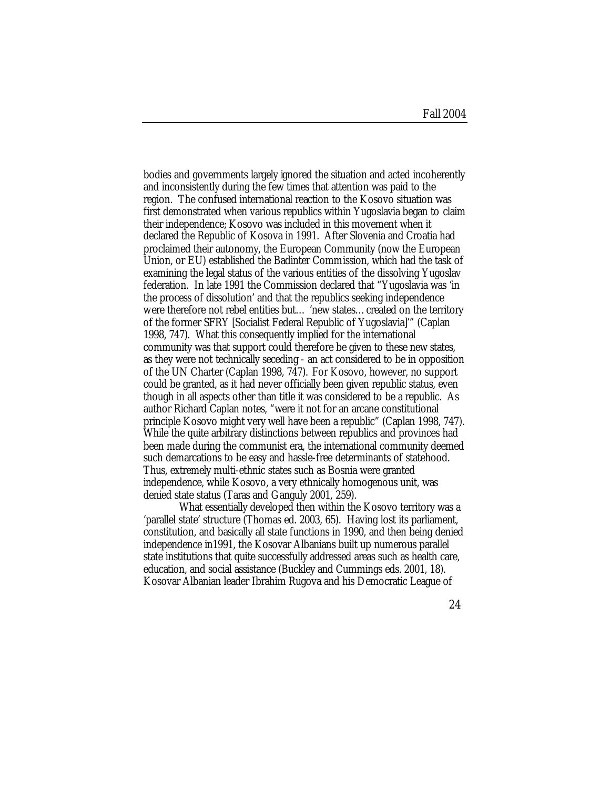bodies and governments largely ignored the situation and acted incoherently and inconsistently during the few times that attention was paid to the region. The confused international reaction to the Kosovo situation was first demonstrated when various republics within Yugoslavia began to claim their independence; Kosovo was included in this movement when it declared the Republic of Kosova in 1991. After Slovenia and Croatia had proclaimed their autonomy, the European Community (now the European Union, or EU) established the Badinter Commission, which had the task of examining the legal status of the various entities of the dissolving Yugoslav federation. In late 1991 the Commission declared that "Yugoslavia was 'in the process of dissolution' and that the republics seeking independence were therefore not rebel entities but… 'new states…created on the territory of the former SFRY [Socialist Federal Republic of Yugoslavia]'" (Caplan 1998, 747). What this consequently implied for the international community was that support could therefore be given to these new states, as they were not technically seceding - an act considered to be in opposition of the UN Charter (Caplan 1998, 747). For Kosovo, however, no support could be granted, as it had never officially been given republic status, even though in all aspects other than title it was considered to be a republic. As author Richard Caplan notes, "were it not for an arcane constitutional principle Kosovo might very well have been a republic" (Caplan 1998, 747). While the quite arbitrary distinctions between republics and provinces had been made during the communist era, the international community deemed such demarcations to be easy and hassle-free determinants of statehood. Thus, extremely multi-ethnic states such as Bosnia were granted independence, while Kosovo, a very ethnically homogenous unit, was denied state status (Taras and Ganguly 2001, 259).

What essentially developed then within the Kosovo territory was a 'parallel state' structure (Thomas ed. 2003, 65). Having lost its parliament, constitution, and basically all state functions in 1990, and then being denied independence in1991, the Kosovar Albanians built up numerous parallel state institutions that quite successfully addressed areas such as health care, education, and social assistance (Buckley and Cummings eds. 2001, 18). Kosovar Albanian leader Ibrahim Rugova and his Democratic League of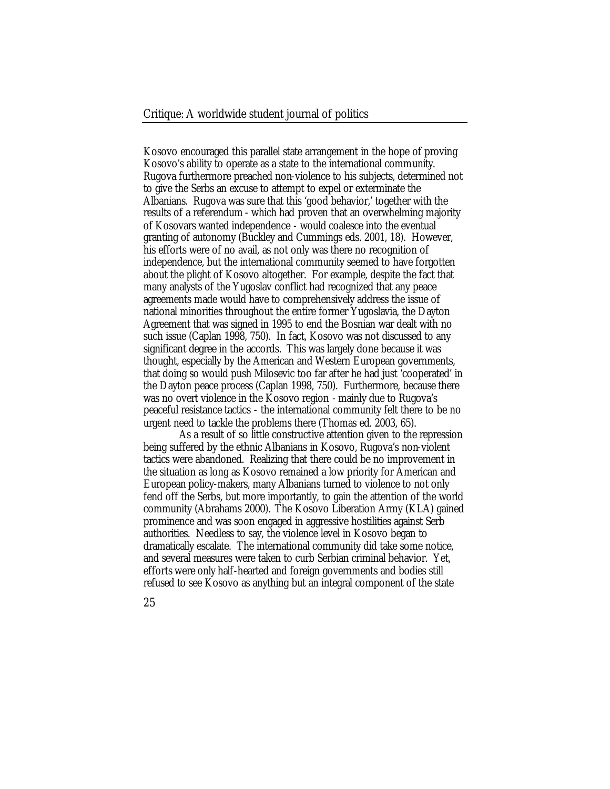Kosovo encouraged this parallel state arrangement in the hope of proving Kosovo's ability to operate as a state to the international community. Rugova furthermore preached non-violence to his subjects, determined not to give the Serbs an excuse to attempt to expel or exterminate the Albanians. Rugova was sure that this 'good behavior,' together with the results of a referendum - which had proven that an overwhelming majority of Kosovars wanted independence - would coalesce into the eventual granting of autonomy (Buckley and Cummings eds. 2001, 18). However, his efforts were of no avail, as not only was there no recognition of independence, but the international community seemed to have forgotten about the plight of Kosovo altogether. For example, despite the fact that many analysts of the Yugoslav conflict had recognized that any peace agreements made would have to comprehensively address the issue of national minorities throughout the entire former Yugoslavia, the Dayton Agreement that was signed in 1995 to end the Bosnian war dealt with no such issue (Caplan 1998, 750). In fact, Kosovo was not discussed to any significant degree in the accords. This was largely done because it was thought, especially by the American and Western European governments, that doing so would push Milosevic too far after he had just 'cooperated' in the Dayton peace process (Caplan 1998, 750). Furthermore, because there was no overt violence in the Kosovo region - mainly due to Rugova's peaceful resistance tactics - the international community felt there to be no urgent need to tackle the problems there (Thomas ed. 2003, 65).

As a result of so little constructive attention given to the repression being suffered by the ethnic Albanians in Kosovo, Rugova's non-violent tactics were abandoned. Realizing that there could be no improvement in the situation as long as Kosovo remained a low priority for American and European policy-makers, many Albanians turned to violence to not only fend off the Serbs, but more importantly, to gain the attention of the world community (Abrahams 2000). The Kosovo Liberation Army (KLA) gained prominence and was soon engaged in aggressive hostilities against Serb authorities. Needless to say, the violence level in Kosovo began to dramatically escalate. The international community did take some notice, and several measures were taken to curb Serbian criminal behavior. Yet, efforts were only half-hearted and foreign governments and bodies still refused to see Kosovo as anything but an integral component of the state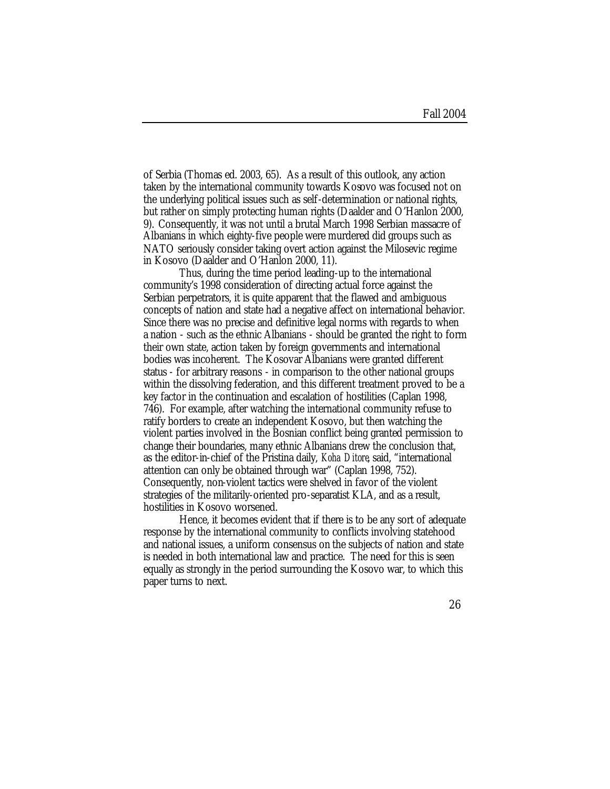of Serbia (Thomas ed. 2003, 65). As a result of this outlook, any action taken by the international community towards Kosovo was focused not on the underlying political issues such as self-determination or national rights, but rather on simply protecting human rights (Daalder and O'Hanlon 2000, 9). Consequently, it was not until a brutal March 1998 Serbian massacre of Albanians in which eighty-five people were murdered did groups such as NATO seriously consider taking overt action against the Milosevic regime in Kosovo (Daalder and O'Hanlon 2000, 11).

Thus, during the time period leading-up to the international community's 1998 consideration of directing actual force against the Serbian perpetrators, it is quite apparent that the flawed and ambiguous concepts of nation and state had a negative affect on international behavior. Since there was no precise and definitive legal norms with regards to when a nation - such as the ethnic Albanians - should be granted the right to form their own state, action taken by foreign governments and international bodies was incoherent. The Kosovar Albanians were granted different status - for arbitrary reasons - in comparison to the other national groups within the dissolving federation, and this different treatment proved to be a key factor in the continuation and escalation of hostilities (Caplan 1998, 746). For example, after watching the international community refuse to ratify borders to create an independent Kosovo, but then watching the violent parties involved in the Bosnian conflict being granted permission to change their boundaries, many ethnic Albanians drew the conclusion that, as the editor-in-chief of the Pristina daily, *Koha Ditore*, said, "international attention can only be obtained through war" (Caplan 1998, 752). Consequently, non-violent tactics were shelved in favor of the violent strategies of the militarily-oriented pro-separatist KLA, and as a result, hostilities in Kosovo worsened.

Hence, it becomes evident that if there is to be any sort of adequate response by the international community to conflicts involving statehood and national issues, a uniform consensus on the subjects of nation and state is needed in both international law and practice. The need for this is seen equally as strongly in the period surrounding the Kosovo war, to which this paper turns to next.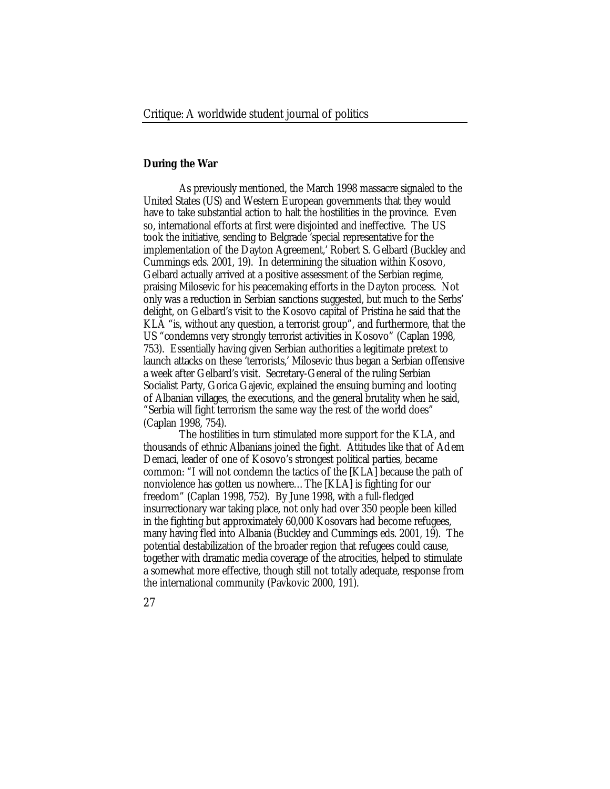#### **During the War**

As previously mentioned, the March 1998 massacre signaled to the United States (US) and Western European governments that they would have to take substantial action to halt the hostilities in the province. Even so, international efforts at first were disjointed and ineffective. The US took the initiative, sending to Belgrade 'special representative for the implementation of the Dayton Agreement,' Robert S. Gelbard (Buckley and Cummings eds. 2001, 19). In determining the situation within Kosovo, Gelbard actually arrived at a positive assessment of the Serbian regime, praising Milosevic for his peacemaking efforts in the Dayton process. Not only was a reduction in Serbian sanctions suggested, but much to the Serbs' delight, on Gelbard's visit to the Kosovo capital of Pristina he said that the KLA "is, without any question, a terrorist group", and furthermore, that the US "condemns very strongly terrorist activities in Kosovo" (Caplan 1998, 753). Essentially having given Serbian authorities a legitimate pretext to launch attacks on these 'terrorists,' Milosevic thus began a Serbian offensive a week after Gelbard's visit. Secretary-General of the ruling Serbian Socialist Party, Gorica Gajevic, explained the ensuing burning and looting of Albanian villages, the executions, and the general brutality when he said, "Serbia will fight terrorism the same way the rest of the world does" (Caplan 1998, 754).

The hostilities in turn stimulated more support for the KLA, and thousands of ethnic Albanians joined the fight. Attitudes like that of Adem Demaci, leader of one of Kosovo's strongest political parties, became common: "I will not condemn the tactics of the [KLA] because the path of nonviolence has gotten us nowhere…The [KLA] is fighting for our freedom" (Caplan 1998, 752). By June 1998, with a full-fledged insurrectionary war taking place, not only had over 350 people been killed in the fighting but approximately 60,000 Kosovars had become refugees, many having fled into Albania (Buckley and Cummings eds. 2001, 19). The potential destabilization of the broader region that refugees could cause, together with dramatic media coverage of the atrocities, helped to stimulate a somewhat more effective, though still not totally adequate, response from the international community (Pavkovic 2000, 191).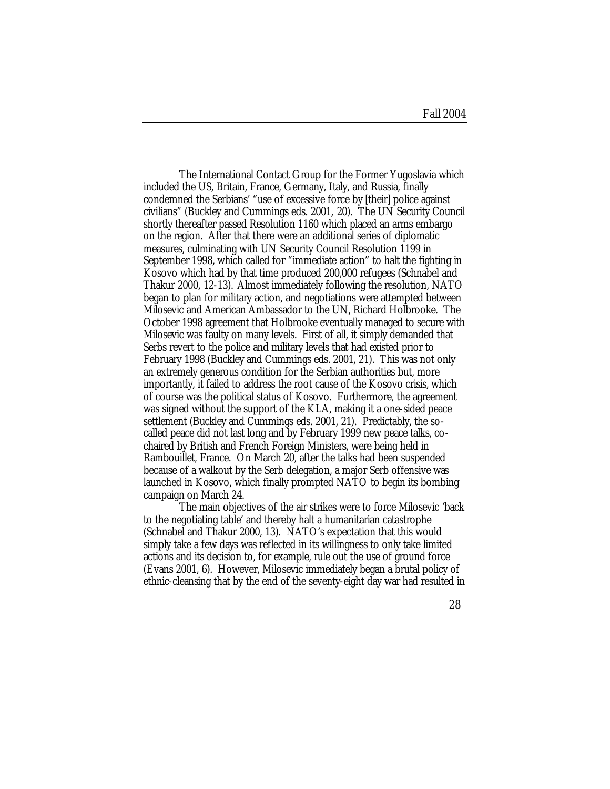The International Contact Group for the Former Yugoslavia which included the US, Britain, France, Germany, Italy, and Russia, finally condemned the Serbians' "use of excessive force by [their] police against civilians" (Buckley and Cummings eds. 2001, 20). The UN Security Council shortly thereafter passed Resolution 1160 which placed an arms embargo on the region. After that there were an additional series of diplomatic measures, culminating with UN Security Council Resolution 1199 in September 1998, which called for "immediate action" to halt the fighting in Kosovo which had by that time produced 200,000 refugees (Schnabel and Thakur 2000, 12-13). Almost immediately following the resolution, NATO began to plan for military action, and negotiations were attempted between Milosevic and American Ambassador to the UN, Richard Holbrooke. The October 1998 agreement that Holbrooke eventually managed to secure with Milosevic was faulty on many levels. First of all, it simply demanded that Serbs revert to the police and military levels that had existed prior to February 1998 (Buckley and Cummings eds. 2001, 21). This was not only an extremely generous condition for the Serbian authorities but, more importantly, it failed to address the root cause of the Kosovo crisis, which of course was the political status of Kosovo. Furthermore, the agreement was signed without the support of the KLA, making it a one-sided peace settlement (Buckley and Cummings eds. 2001, 21). Predictably, the socalled peace did not last long and by February 1999 new peace talks, cochaired by British and French Foreign Ministers, were being held in Rambouillet, France. On March 20, after the talks had been suspended because of a walkout by the Serb delegation, a major Serb offensive was launched in Kosovo, which finally prompted NATO to begin its bombing campaign on March 24.

The main objectives of the air strikes were to force Milosevic 'back to the negotiating table' and thereby halt a humanitarian catastrophe (Schnabel and Thakur 2000, 13). NATO's expectation that this would simply take a few days was reflected in its willingness to only take limited actions and its decision to, for example, rule out the use of ground force (Evans 2001, 6). However, Milosevic immediately began a brutal policy of ethnic-cleansing that by the end of the seventy-eight day war had resulted in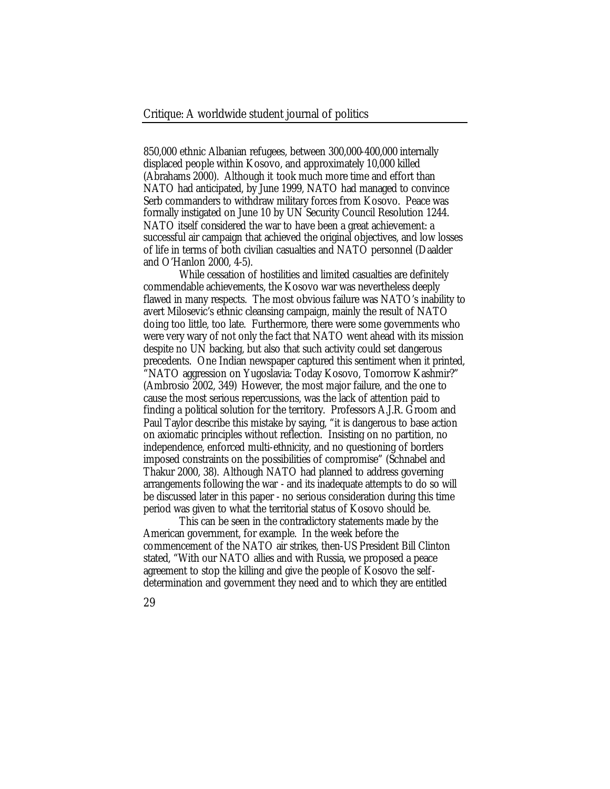850,000 ethnic Albanian refugees, between 300,000-400,000 internally displaced people within Kosovo, and approximately 10,000 killed (Abrahams 2000). Although it took much more time and effort than NATO had anticipated, by June 1999, NATO had managed to convince Serb commanders to withdraw military forces from Kosovo. Peace was formally instigated on June 10 by UN Security Council Resolution 1244. NATO itself considered the war to have been a great achievement: a successful air campaign that achieved the original objectives, and low losses of life in terms of both civilian casualties and NATO personnel (Daalder and O'Hanlon 2000, 4-5).

While cessation of hostilities and limited casualties are definitely commendable achievements, the Kosovo war was nevertheless deeply flawed in many respects. The most obvious failure was NATO's inability to avert Milosevic's ethnic cleansing campaign, mainly the result of NATO doing too little, too late. Furthermore, there were some governments who were very wary of not only the fact that NATO went ahead with its mission despite no UN backing, but also that such activity could set dangerous precedents. One Indian newspaper captured this sentiment when it printed, "NATO aggression on Yugoslavia: Today Kosovo, Tomorrow Kashmir?" (Ambrosio 2002, 349) However, the most major failure, and the one to cause the most serious repercussions, was the lack of attention paid to finding a political solution for the territory. Professors A.J.R. Groom and Paul Taylor describe this mistake by saying, "it is dangerous to base action on axiomatic principles without reflection. Insisting on no partition, no independence, enforced multi-ethnicity, and no questioning of borders imposed constraints on the possibilities of compromise" (Schnabel and Thakur 2000, 38). Although NATO had planned to address governing arrangements following the war - and its inadequate attempts to do so will be discussed later in this paper - no serious consideration during this time period was given to what the territorial status of Kosovo should be.

This can be seen in the contradictory statements made by the American government, for example. In the week before the commencement of the NATO air strikes, then-US President Bill Clinton stated, "With our NATO allies and with Russia, we proposed a peace agreement to stop the killing and give the people of Kosovo the selfdetermination and government they need and to which they are entitled

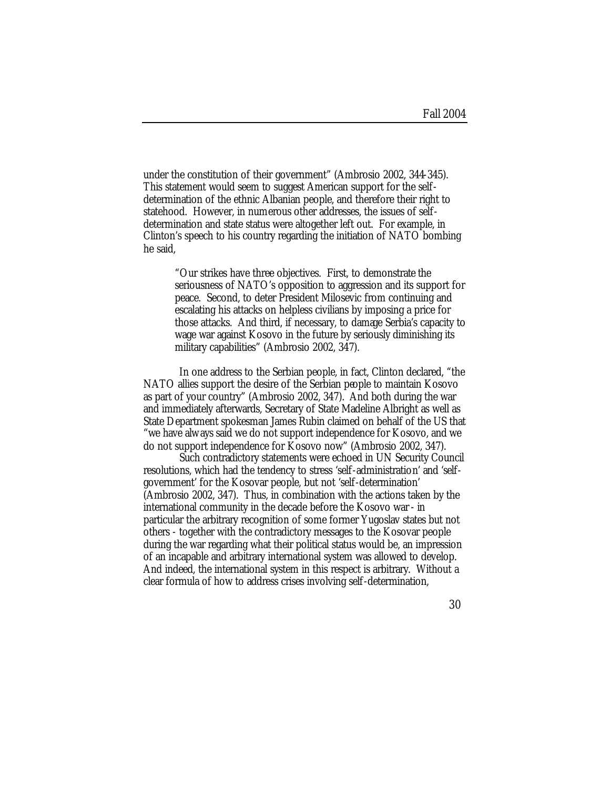under the constitution of their government" (Ambrosio 2002, 344-345). This statement would seem to suggest American support for the selfdetermination of the ethnic Albanian people, and therefore their right to statehood. However, in numerous other addresses, the issues of selfdetermination and state status were altogether left out. For example, in Clinton's speech to his country regarding the initiation of NATO bombing he said,

"Our strikes have three objectives. First, to demonstrate the seriousness of NATO's opposition to aggression and its support for peace. Second, to deter President Milosevic from continuing and escalating his attacks on helpless civilians by imposing a price for those attacks. And third, if necessary, to damage Serbia's capacity to wage war against Kosovo in the future by seriously diminishing its military capabilities" (Ambrosio 2002, 347).

In one address to the Serbian people, in fact, Clinton declared, "the NATO allies support the desire of the Serbian people to maintain Kosovo as part of your country" (Ambrosio 2002, 347). And both during the war and immediately afterwards, Secretary of State Madeline Albright as well as State Department spokesman James Rubin claimed on behalf of the US that "we have always said we do not support independence for Kosovo, and we do not support independence for Kosovo now" (Ambrosio 2002, 347).

Such contradictory statements were echoed in UN Security Council resolutions, which had the tendency to stress 'self-administration' and 'selfgovernment' for the Kosovar people, but not 'self-determination' (Ambrosio 2002, 347). Thus, in combination with the actions taken by the international community in the decade before the Kosovo war - in particular the arbitrary recognition of some former Yugoslav states but not others - together with the contradictory messages to the Kosovar people during the war regarding what their political status would be, an impression of an incapable and arbitrary international system was allowed to develop. And indeed, the international system in this respect is arbitrary. Without a clear formula of how to address crises involving self-determination,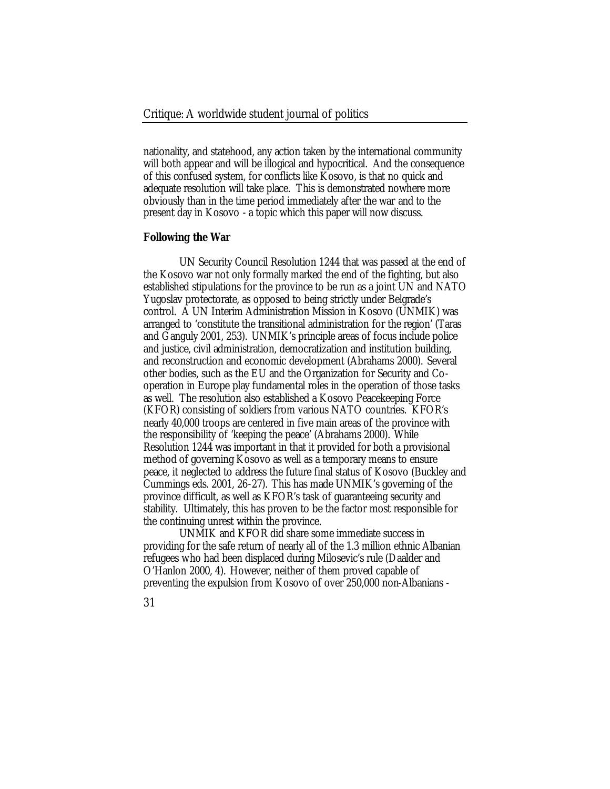nationality, and statehood, any action taken by the international community will both appear and will be illogical and hypocritical. And the consequence of this confused system, for conflicts like Kosovo, is that no quick and adequate resolution will take place. This is demonstrated nowhere more obviously than in the time period immediately after the war and to the present day in Kosovo - a topic which this paper will now discuss.

#### **Following the War**

UN Security Council Resolution 1244 that was passed at the end of the Kosovo war not only formally marked the end of the fighting, but also established stipulations for the province to be run as a joint UN and NATO Yugoslav protectorate, as opposed to being strictly under Belgrade's control. A UN Interim Administration Mission in Kosovo (UNMIK) was arranged to 'constitute the transitional administration for the region' (Taras and Ganguly 2001, 253). UNMIK's principle areas of focus include police and justice, civil administration, democratization and institution building, and reconstruction and economic development (Abrahams 2000). Several other bodies, such as the EU and the Organization for Security and Cooperation in Europe play fundamental roles in the operation of those tasks as well. The resolution also established a Kosovo Peacekeeping Force (KFOR) consisting of soldiers from various NATO countries. KFOR's nearly 40,000 troops are centered in five main areas of the province with the responsibility of 'keeping the peace' (Abrahams 2000). While Resolution 1244 was important in that it provided for both a provisional method of governing Kosovo as well as a temporary means to ensure peace, it neglected to address the future final status of Kosovo (Buckley and Cummings eds. 2001, 26-27). This has made UNMIK's governing of the province difficult, as well as KFOR's task of guaranteeing security and stability. Ultimately, this has proven to be the factor most responsible for the continuing unrest within the province.

UNMIK and KFOR did share some immediate success in providing for the safe return of nearly all of the 1.3 million ethnic Albanian refugees who had been displaced during Milosevic's rule (Daalder and O'Hanlon 2000, 4). However, neither of them proved capable of preventing the expulsion from Kosovo of over 250,000 non-Albanians -

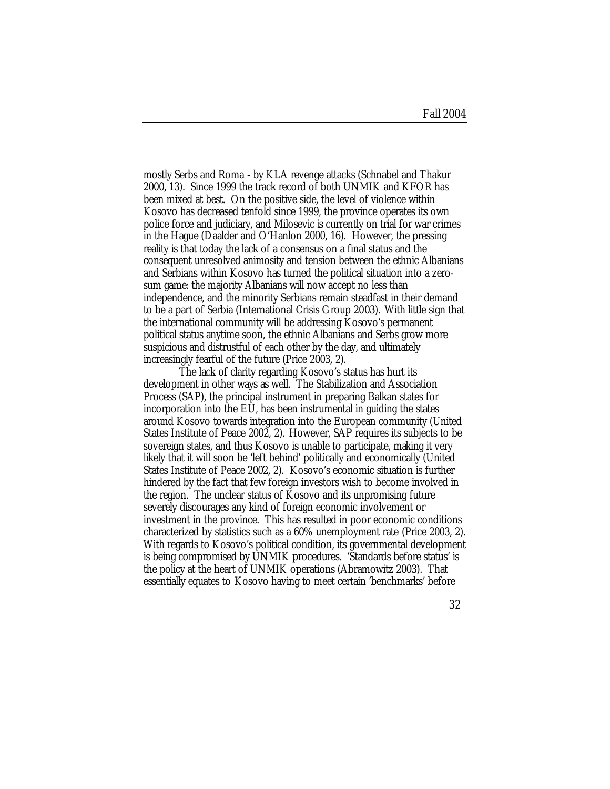mostly Serbs and Roma - by KLA revenge attacks (Schnabel and Thakur 2000, 13). Since 1999 the track record of both UNMIK and KFOR has been mixed at best. On the positive side, the level of violence within Kosovo has decreased tenfold since 1999, the province operates its own police force and judiciary, and Milosevic is currently on trial for war crimes in the Hague (Daalder and O'Hanlon 2000, 16). However, the pressing reality is that today the lack of a consensus on a final status and the consequent unresolved animosity and tension between the ethnic Albanians and Serbians within Kosovo has turned the political situation into a zerosum game: the majority Albanians will now accept no less than independence, and the minority Serbians remain steadfast in their demand to be a part of Serbia (International Crisis Group 2003). With little sign that the international community will be addressing Kosovo's permanent political status anytime soon, the ethnic Albanians and Serbs grow more suspicious and distrustful of each other by the day, and ultimately increasingly fearful of the future (Price 2003, 2).

The lack of clarity regarding Kosovo's status has hurt its development in other ways as well. The Stabilization and Association Process (SAP), the principal instrument in preparing Balkan states for incorporation into the EU, has been instrumental in guiding the states around Kosovo towards integration into the European community (United States Institute of Peace 2002, 2). However, SAP requires its subjects to be sovereign states, and thus Kosovo is unable to participate, making it very likely that it will soon be 'left behind' politically and economically (United States Institute of Peace 2002, 2). Kosovo's economic situation is further hindered by the fact that few foreign investors wish to become involved in the region. The unclear status of Kosovo and its unpromising future severely discourages any kind of foreign economic involvement or investment in the province. This has resulted in poor economic conditions characterized by statistics such as a 60% unemployment rate (Price 2003, 2). With regards to Kosovo's political condition, its governmental development is being compromised by UNMIK procedures. 'Standards before status' is the policy at the heart of UNMIK operations (Abramowitz 2003). That essentially equates to Kosovo having to meet certain 'benchmarks' before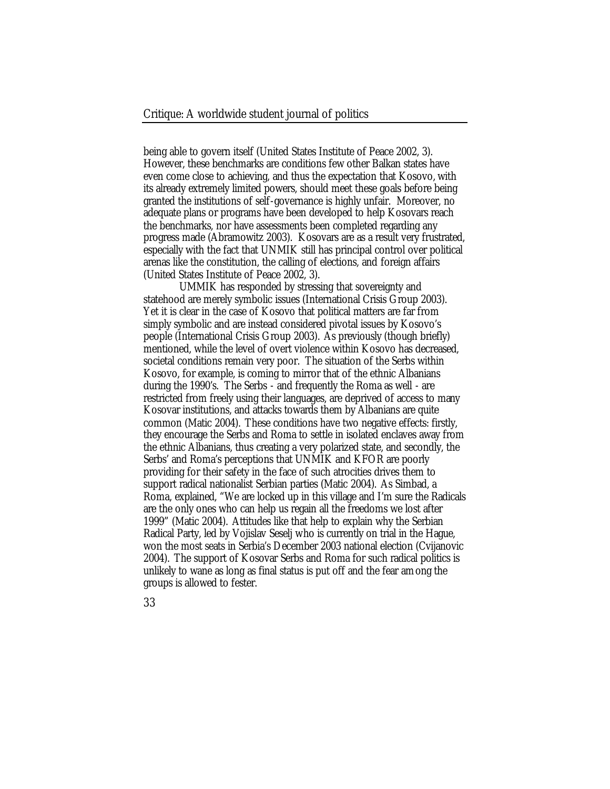being able to govern itself (United States Institute of Peace 2002, 3). However, these benchmarks are conditions few other Balkan states have even come close to achieving, and thus the expectation that Kosovo, with its already extremely limited powers, should meet these goals before being granted the institutions of self-governance is highly unfair. Moreover, no adequate plans or programs have been developed to help Kosovars reach the benchmarks, nor have assessments been completed regarding any progress made (Abramowitz 2003). Kosovars are as a result very frustrated, especially with the fact that UNMIK still has principal control over political arenas like the constitution, the calling of elections, and foreign affairs (United States Institute of Peace 2002, 3).

UMMIK has responded by stressing that sovereignty and statehood are merely symbolic issues (International Crisis Group 2003). Yet it is clear in the case of Kosovo that political matters are far from simply symbolic and are instead considered pivotal issues by Kosovo's people (International Crisis Group 2003). As previously (though briefly) mentioned, while the level of overt violence within Kosovo has decreased, societal conditions remain very poor. The situation of the Serbs within Kosovo, for example, is coming to mirror that of the ethnic Albanians during the 1990's. The Serbs - and frequently the Roma as well - are restricted from freely using their languages, are deprived of access to many Kosovar institutions, and attacks towards them by Albanians are quite common (Matic 2004). These conditions have two negative effects: firstly, they encourage the Serbs and Roma to settle in isolated enclaves away from the ethnic Albanians, thus creating a very polarized state, and secondly, the Serbs' and Roma's perceptions that UNMIK and KFOR are poorly providing for their safety in the face of such atrocities drives them to support radical nationalist Serbian parties (Matic 2004). As Simbad, a Roma, explained, "We are locked up in this village and I'm sure the Radicals are the only ones who can help us regain all the freedoms we lost after 1999" (Matic 2004). Attitudes like that help to explain why the Serbian Radical Party, led by Vojislav Seselj who is currently on trial in the Hague, won the most seats in Serbia's December 2003 national election (Cvijanovic 2004). The support of Kosovar Serbs and Roma for such radical politics is unlikely to wane as long as final status is put off and the fear among the groups is allowed to fester.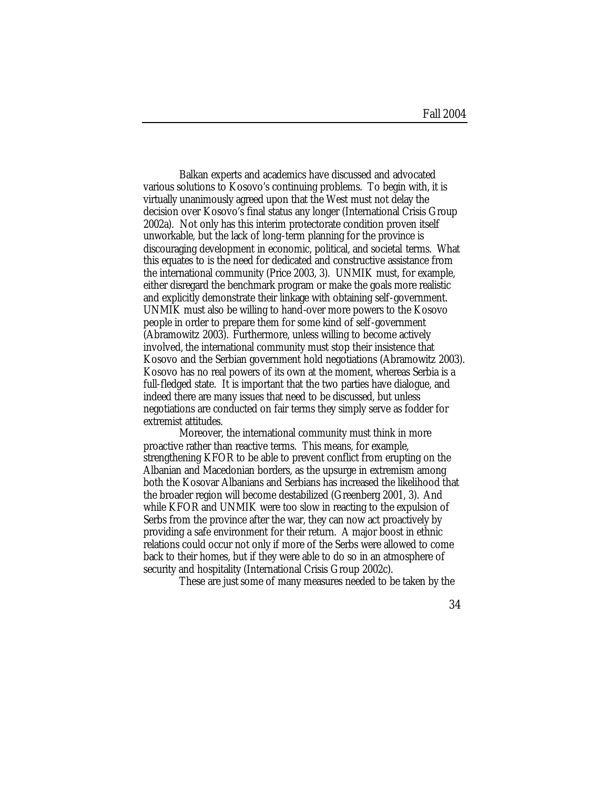Balkan experts and academics have discussed and advocated various solutions to Kosovo's continuing problems. To begin with, it is virtually unanimously agreed upon that the West must not delay the decision over Kosovo's final status any longer (International Crisis Group 2002a). Not only has this interim protectorate condition proven itself unworkable, but the lack of long-term planning for the province is discouraging development in economic, political, and societal terms. What this equates to is the need for dedicated and constructive assistance from the international community (Price 2003, 3). UNMIK must, for example, either disregard the benchmark program or make the goals more realistic and explicitly demonstrate their linkage with obtaining self-government. UNMIK must also be willing to hand-over more powers to the Kosovo people in order to prepare them for some kind of self-government (Abramowitz 2003). Furthermore, unless willing to become actively involved, the international community must stop their insistence that Kosovo and the Serbian government hold negotiations (Abramowitz 2003). Kosovo has no real powers of its own at the moment, whereas Serbia is a full-fledged state. It is important that the two parties have dialogue, and indeed there are many issues that need to be discussed, but unless negotiations are conducted on fair terms they simply serve as fodder for extremist attitudes.

Moreover, the international community must think in more proactive rather than reactive terms. This means, for example, strengthening KFOR to be able to prevent conflict from erupting on the Albanian and Macedonian borders, as the upsurge in extremism among both the Kosovar Albanians and Serbians has increased the likelihood that the broader region will become destabilized (Greenberg 2001, 3). And while KFOR and UNMIK were too slow in reacting to the expulsion of Serbs from the province after the war, they can now act proactively by providing a safe environment for their return. A major boost in ethnic relations could occur not only if more of the Serbs were allowed to come back to their homes, but if they were able to do so in an atmosphere of security and hospitality (International Crisis Group 2002c).

These are just some of many measures needed to be taken by the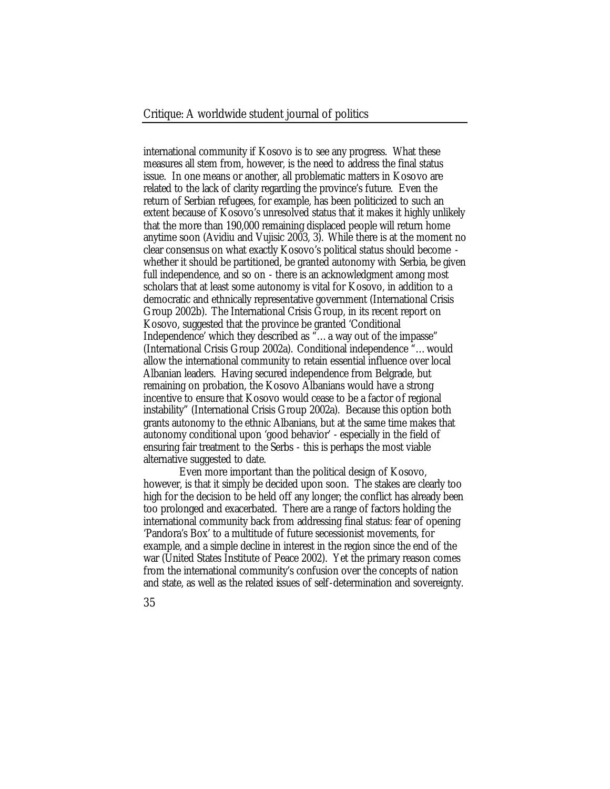international community if Kosovo is to see any progress. What these measures all stem from, however, is the need to address the final status issue. In one means or another, all problematic matters in Kosovo are related to the lack of clarity regarding the province's future. Even the return of Serbian refugees, for example, has been politicized to such an extent because of Kosovo's unresolved status that it makes it highly unlikely that the more than 190,000 remaining displaced people will return home anytime soon (Avidiu and Vujisic 2003, 3). While there is at the moment no clear consensus on what exactly Kosovo's political status should become whether it should be partitioned, be granted autonomy with Serbia, be given full independence, and so on - there is an acknowledgment among most scholars that at least some autonomy is vital for Kosovo, in addition to a democratic and ethnically representative government (International Crisis Group 2002b). The International Crisis Group, in its recent report on Kosovo, suggested that the province be granted 'Conditional Independence' which they described as "…a way out of the impasse" (International Crisis Group 2002a). Conditional independence "…would allow the international community to retain essential influence over local Albanian leaders. Having secured independence from Belgrade, but remaining on probation, the Kosovo Albanians would have a strong incentive to ensure that Kosovo would cease to be a factor of regional instability" (International Crisis Group 2002a). Because this option both grants autonomy to the ethnic Albanians, but at the same time makes that autonomy conditional upon 'good behavior' - especially in the field of ensuring fair treatment to the Serbs - this is perhaps the most viable alternative suggested to date.

Even more important than the political design of Kosovo, however, is that it simply be decided upon soon. The stakes are clearly too high for the decision to be held off any longer; the conflict has already been too prolonged and exacerbated. There are a range of factors holding the international community back from addressing final status: fear of opening 'Pandora's Box' to a multitude of future secessionist movements, for example, and a simple decline in interest in the region since the end of the war (United States Institute of Peace 2002). Yet the primary reason comes from the international community's confusion over the concepts of nation and state, as well as the related issues of self-determination and sovereignty.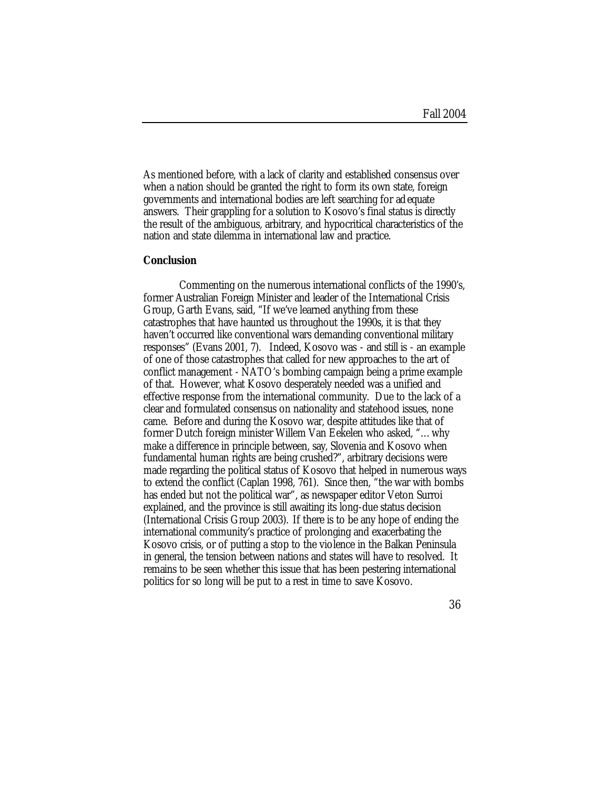36

As mentioned before, with a lack of clarity and established consensus over when a nation should be granted the right to form its own state, foreign governments and international bodies are left searching for adequate answers. Their grappling for a solution to Kosovo's final status is directly the result of the ambiguous, arbitrary, and hypocritical characteristics of the nation and state dilemma in international law and practice.

#### **Conclusion**

Commenting on the numerous international conflicts of the 1990's, former Australian Foreign Minister and leader of the International Crisis Group, Garth Evans, said, "If we've learned anything from these catastrophes that have haunted us throughout the 1990s, it is that they haven't occurred like conventional wars demanding conventional military responses" (Evans 2001, 7). Indeed, Kosovo was - and still is - an example of one of those catastrophes that called for new approaches to the art of conflict management - NATO's bombing campaign being a prime example of that. However, what Kosovo desperately needed was a unified and effective response from the international community. Due to the lack of a clear and formulated consensus on nationality and statehood issues, none came. Before and during the Kosovo war, despite attitudes like that of former Dutch foreign minister Willem Van Eekelen who asked, "…why make a difference in principle between, say, Slovenia and Kosovo when fundamental human rights are being crushed?", arbitrary decisions were made regarding the political status of Kosovo that helped in numerous ways to extend the conflict (Caplan 1998, 761). Since then, "the war with bombs has ended but not the political war", as newspaper editor Veton Surroi explained, and the province is still awaiting its long-due status decision (International Crisis Group 2003). If there is to be any hope of ending the international community's practice of prolonging and exacerbating the Kosovo crisis, or of putting a stop to the violence in the Balkan Peninsula in general, the tension between nations and states will have to resolved. It remains to be seen whether this issue that has been pestering international politics for so long will be put to a rest in time to save Kosovo.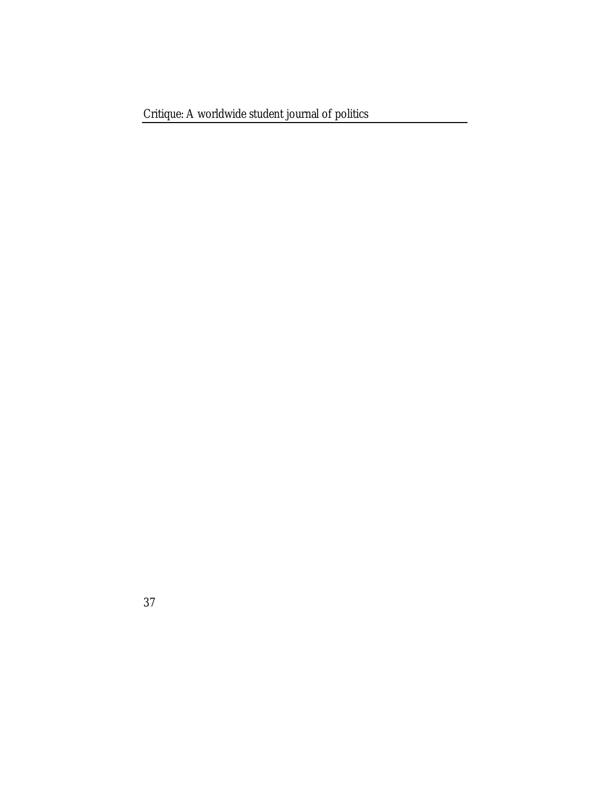Critique: A worldwide student journal of politics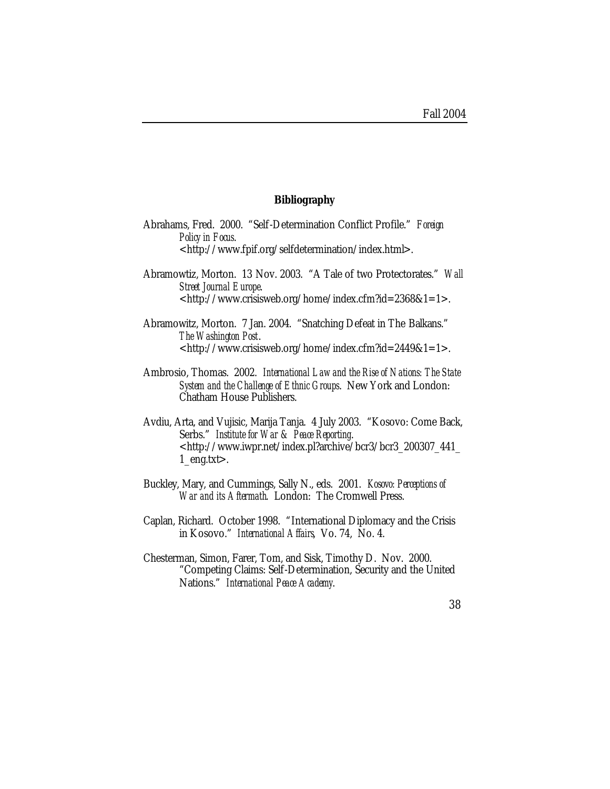#### **Bibliography**

- Abrahams, Fred. 2000. "Self-Determination Conflict Profile." *Foreign Policy in Focus*. <http://www.fpif.org/selfdetermination/index.html>.
- Abramowtiz, Morton. 13 Nov. 2003. "A Tale of two Protectorates." *Wall Street Journal Europe*. <http://www.crisisweb.org/home/index.cfm?id=2368&1=1>.
- Abramowitz, Morton. 7 Jan. 2004. "Snatching Defeat in The Balkans." *The Washington Post*. <http://www.crisisweb.org/home/index.cfm?id=2449&1=1>.
- Ambrosio, Thomas. 2002. *International Law and the Rise of Nations: The State System and the Challenge of Ethnic Groups*. New York and London: Chatham House Publishers.
- Avdiu, Arta, and Vujisic, Marija Tanja. 4 July 2003. "Kosovo: Come Back, Serbs." *Institute for War & Peace Reporting*. <http://www.iwpr.net/index.pl?archive/bcr3/bcr3\_200307\_441\_ 1\_eng.txt>.
- Buckley, Mary, and Cummings, Sally N., eds. 2001. *Kosovo: Perceptions of War and its Aftermath*. London: The Cromwell Press.
- Caplan, Richard. October 1998. "International Diplomacy and the Crisis in Kosovo." *International Affairs*, Vo. 74, No. 4.
- Chesterman, Simon, Farer, Tom, and Sisk, Timothy D. Nov. 2000. "Competing Claims: Self-Determination, Security and the United Nations." *International Peace Academy*.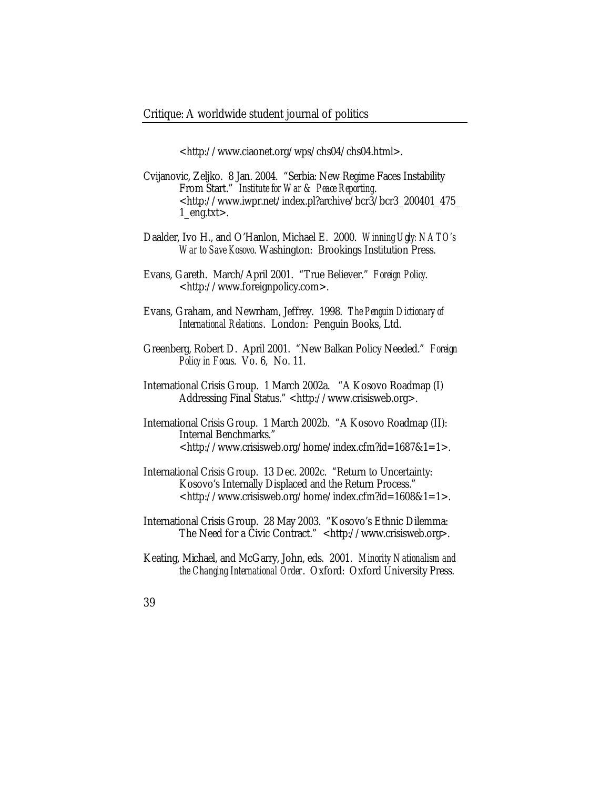<http://www.ciaonet.org/wps/chs04/chs04.html>.

- Cvijanovic, Zeljko. 8 Jan. 2004. "Serbia: New Regime Faces Instability From Start." *Institute for War & Peace Reporting*. <http://www.iwpr.net/index.pl?archive/bcr3/bcr3\_200401\_475\_ 1\_eng.txt>.
- Daalder, Ivo H., and O'Hanlon, Michael E. 2000. *Winning Ugly: NATO's War to Save Kosovo*. Washington: Brookings Institution Press.
- Evans, Gareth. March/April 2001. "True Believer." *Foreign Policy*. <http://www.foreignpolicy.com>.
- Evans, Graham, and Newnham, Jeffrey. 1998. *The Penguin Dictionary of International Relations*. London: Penguin Books, Ltd.
- Greenberg, Robert D. April 2001. "New Balkan Policy Needed." *Foreign Policy in Focus.* Vo. 6, No. 11.
- International Crisis Group. 1 March 2002a. "A Kosovo Roadmap (I) Addressing Final Status." <http://www.crisisweb.org>.
- International Crisis Group. 1 March 2002b. "A Kosovo Roadmap (II): Internal Benchmarks." <http://www.crisisweb.org/home/index.cfm?id=1687&1=1>.
- International Crisis Group. 13 Dec. 2002c. "Return to Uncertainty: Kosovo's Internally Displaced and the Return Process." <http://www.crisisweb.org/home/index.cfm?id=1608&1=1>.
- International Crisis Group. 28 May 2003. "Kosovo's Ethnic Dilemma: The Need for a Civic Contract." <http://www.crisisweb.org>.
- Keating, Michael, and McGarry, John, eds. 2001. *Minority Nationalism and the Changing International Order*. Oxford: Oxford University Press.